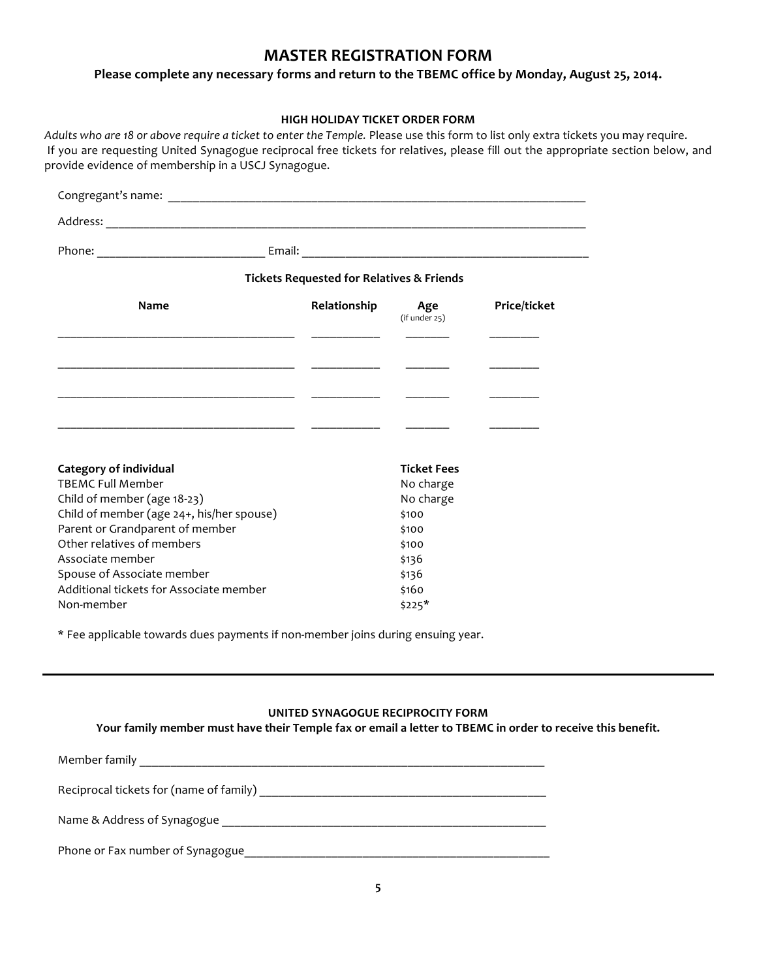# **MASTER REGISTRATION FORM**

Please complete any necessary forms and return to the TBEMC office by Monday, August 25, 2014.

## **HIGH HOLIDAY TICKET ORDER FORM**

Adults who are 18 or above require a ticket to enter the Temple. Please use this form to list only extra tickets you may require. If you are requesting United Synagogue reciprocal free tickets for relatives, please fill out the appropriate section below, and provide evidence of membership in a USCJ Synagogue.

|                                                           | <b>Tickets Requested for Relatives &amp; Friends</b> |                          |                     |
|-----------------------------------------------------------|------------------------------------------------------|--------------------------|---------------------|
| Name                                                      | Relationship                                         | Age<br>$(if$ under $25)$ | <b>Price/ticket</b> |
|                                                           |                                                      |                          |                     |
|                                                           |                                                      |                          |                     |
| <u> 1989 - John Stein, Amerikaansk politiker (* 1908)</u> |                                                      |                          |                     |
|                                                           |                                                      |                          |                     |
|                                                           |                                                      |                          |                     |
| Category of individual                                    |                                                      | <b>Ticket Fees</b>       |                     |
| <b>TBEMC Full Member</b>                                  |                                                      | No charge                |                     |
| Child of member (age 18-23)                               |                                                      | No charge                |                     |
| Child of member (age 24+, his/her spouse)                 |                                                      | \$100                    |                     |
| Parent or Grandparent of member                           |                                                      | \$100                    |                     |
| Other relatives of members                                |                                                      | \$100                    |                     |
| Associate member                                          |                                                      | \$136                    |                     |
| Spouse of Associate member                                |                                                      | \$136                    |                     |
| Additional tickets for Associate member                   |                                                      | \$160                    |                     |
| Non-member                                                |                                                      | $$225*$                  |                     |

\* Fee applicable towards dues payments if non-member joins during ensuing year.

#### **UNITED SYNAGOGUE RECIPROCITY FORM**

Your family member must have their Temple fax or email a letter to TBEMC in order to receive this benefit.

| Member family                           |  |
|-----------------------------------------|--|
| Reciprocal tickets for (name of family) |  |
| Name & Address of Synagogue             |  |
| Phone or Fax number of Synagogue        |  |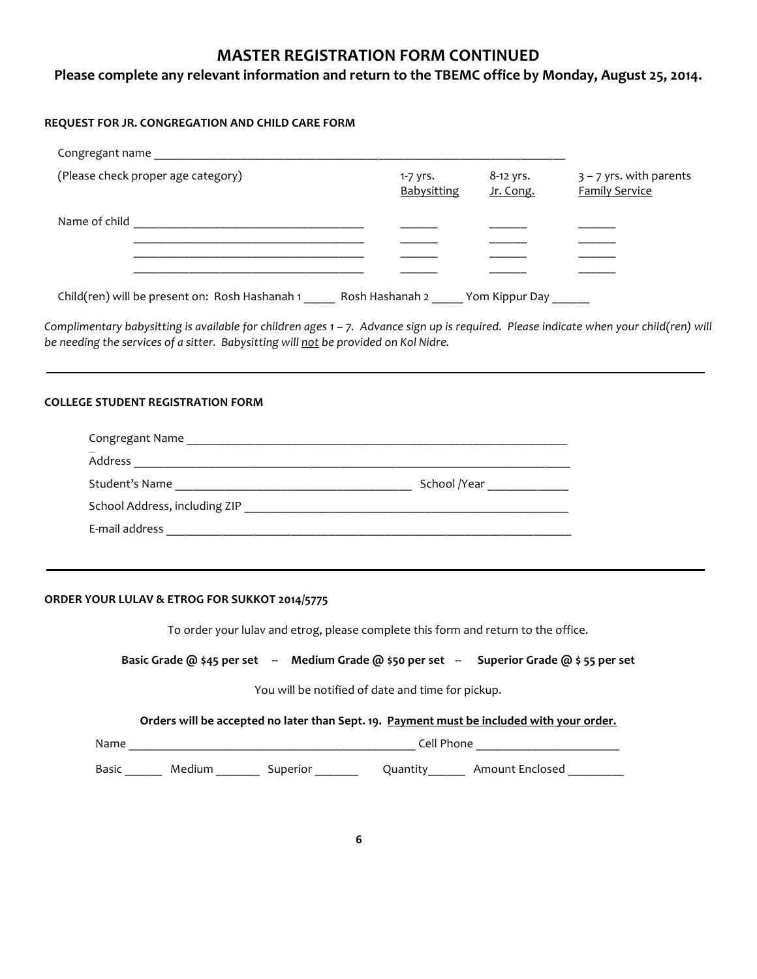# **MASTER REGISTRATION FORM CONTINUED**

## Please complete any relevant information and return to the TBEMC office by Monday, August 25, 2014.

## **REQUEST FOR JR. CONGREGATION AND CHILD CARE FORM**

| Congregant name                                |                           |                          |                                                    |
|------------------------------------------------|---------------------------|--------------------------|----------------------------------------------------|
| (Please check proper age category)             | $1-7$ yrs.<br>Babysitting | $8-12$ yrs.<br>Jr. Cong. | $3 - 7$ yrs. with parents<br><b>Family Service</b> |
| Name of child                                  |                           |                          |                                                    |
|                                                |                           |                          |                                                    |
|                                                |                           |                          |                                                    |
| Child(ren) will be present on: Rosh Hashanah 1 | Rosh Hashanah 2           | Yom Kippur Day           |                                                    |

Complimentary babysitting is available for children ages 1 - 7. Advance sign up is required. Please indicate when your child(ren) will *be needing the services of a sitter. Babysitting will not be provided on Kol Nidre.* 

#### **COLLEGE STUDENT REGISTRATION FORM**

| Congregant Name               |              |
|-------------------------------|--------------|
| Address                       |              |
| Student's Name                | School /Year |
| School Address, including ZIP |              |
| E-mail address                |              |

#### **ORDER YOUR LULAV & ETROG FOR SUKKOT 2014/5775**

To order your lulav and etrog, please complete this form and return to the office.

### **Basic Grade @ \$45 per set** -- Medium Grade @ \$50 per set -- Superior Grade @ \$55 per set

You will be notified of date and time for pickup.

#### Orders will be accepted no later than Sept. 19. Payment must be included with your order.

| --                                            | $\mathbf{a}$<br>_____<br>________________<br>____ |           |           |  |  |
|-----------------------------------------------|---------------------------------------------------|-----------|-----------|--|--|
| $\overline{\phantom{a}}$<br>نہ ہے ۔<br>______ | ________                                          | _________ | _________ |  |  |